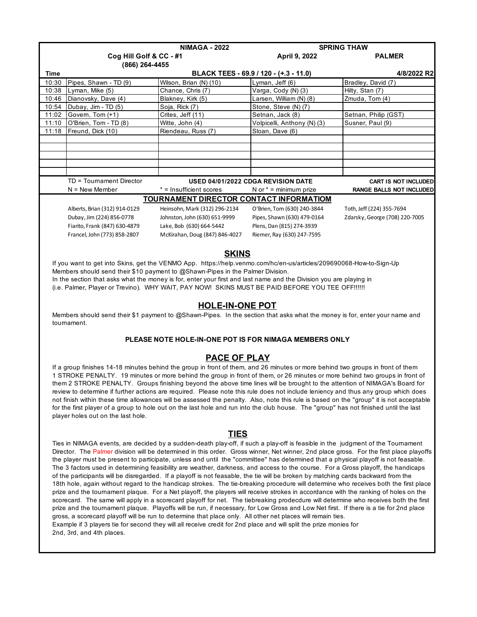|                                                                                                                                                                                                                                                                                                                     | <b>NIMAGA - 2022</b>          |                                                | <b>SPRING THAW</b>          |                                 |  |  |  |
|---------------------------------------------------------------------------------------------------------------------------------------------------------------------------------------------------------------------------------------------------------------------------------------------------------------------|-------------------------------|------------------------------------------------|-----------------------------|---------------------------------|--|--|--|
|                                                                                                                                                                                                                                                                                                                     | Cog Hill Golf & CC - #1       |                                                | April 9, 2022               | <b>PALMER</b>                   |  |  |  |
|                                                                                                                                                                                                                                                                                                                     | (866) 264-4455                |                                                |                             |                                 |  |  |  |
| Time                                                                                                                                                                                                                                                                                                                |                               | BLACK TEES - 69.9 / 120 - (+.3 - 11.0)         |                             |                                 |  |  |  |
| 10:30                                                                                                                                                                                                                                                                                                               | Pipes, Shawn - TD (9)         | Wilson, Brian (N) (10)                         | Lyman, Jeff (6)             | Bradley, David (7)              |  |  |  |
| 10:38                                                                                                                                                                                                                                                                                                               | Lyman, Mike (5)               | Chance, Chris (7)                              | Varga, Cody (N) (3)         | Hilty, Stan (7)                 |  |  |  |
| 10:46                                                                                                                                                                                                                                                                                                               | Dianovsky, Dave (4)           | Blakney, Kirk (5)                              | Larsen, William (N) (8)     | Zmuda, Tom (4)                  |  |  |  |
| 10:54                                                                                                                                                                                                                                                                                                               | Dubay, Jim - TD (5)           | Soja, Rick (7)                                 | Stone, Steve (N) (7)        |                                 |  |  |  |
| 11:02                                                                                                                                                                                                                                                                                                               | Govern, Tom (+1)              | Crites, Jeff (11)                              | Setnan, Jack (8)            | Setnan, Philip (GST)            |  |  |  |
| 11:10                                                                                                                                                                                                                                                                                                               | O'Brien, Tom - TD (8)         | Witte, John (4)                                | Volpicelli, Anthony (N) (3) | Susner, Paul (9)                |  |  |  |
| 11:18                                                                                                                                                                                                                                                                                                               | Freund, Dick (10)             | Riendeau, Russ (7)                             | Sloan, Dave (6)             |                                 |  |  |  |
|                                                                                                                                                                                                                                                                                                                     |                               |                                                |                             |                                 |  |  |  |
|                                                                                                                                                                                                                                                                                                                     |                               |                                                |                             |                                 |  |  |  |
|                                                                                                                                                                                                                                                                                                                     |                               |                                                |                             |                                 |  |  |  |
|                                                                                                                                                                                                                                                                                                                     |                               |                                                |                             |                                 |  |  |  |
|                                                                                                                                                                                                                                                                                                                     |                               |                                                |                             |                                 |  |  |  |
|                                                                                                                                                                                                                                                                                                                     | TD = Tournament Director      | USED 04/01/2022 CDGA REVISION DATE             |                             | <b>CART IS NOT INCLUDED</b>     |  |  |  |
|                                                                                                                                                                                                                                                                                                                     | $N =$ New Member              | * = Insufficient scores                        | N or $* =$ minimum prize    | <b>RANGE BALLS NOT INCLUDED</b> |  |  |  |
|                                                                                                                                                                                                                                                                                                                     |                               | <b>TOURNAMENT DIRECTOR CONTACT INFORMATIOM</b> |                             |                                 |  |  |  |
|                                                                                                                                                                                                                                                                                                                     | Alberts, Brian (312) 914-0129 | Heinsohn, Mark (312) 296-2134                  | O'Brien, Tom (630) 240-3844 | Toth, Jeff (224) 355-7694       |  |  |  |
|                                                                                                                                                                                                                                                                                                                     | Dubay, Jim (224) 856-0778     | Johnston, John (630) 651-9999                  | Pipes, Shawn (630) 479-0164 | Zdarsky, George (708) 220-7005  |  |  |  |
|                                                                                                                                                                                                                                                                                                                     | Fiarito, Frank (847) 630-4879 | Lake, Bob (630) 664-5442                       | Plens, Dan (815) 274-3939   |                                 |  |  |  |
|                                                                                                                                                                                                                                                                                                                     | Francel, John (773) 858-2807  | McKirahan, Doug (847) 846-4027                 | Riemer, Ray (630) 247-7595  |                                 |  |  |  |
|                                                                                                                                                                                                                                                                                                                     |                               |                                                |                             |                                 |  |  |  |
| <b>SKINS</b>                                                                                                                                                                                                                                                                                                        |                               |                                                |                             |                                 |  |  |  |
| $\frac{1}{2}$ $\frac{1}{2}$ $\frac{1}{2}$ $\frac{1}{2}$ $\frac{1}{2}$ $\frac{1}{2}$ $\frac{1}{2}$ $\frac{1}{2}$ $\frac{1}{2}$ $\frac{1}{2}$ $\frac{1}{2}$ $\frac{1}{2}$ $\frac{1}{2}$ $\frac{1}{2}$ $\frac{1}{2}$ $\frac{1}{2}$ $\frac{1}{2}$ $\frac{1}{2}$ $\frac{1}{2}$ $\frac{1}{2}$ $\frac{1}{2}$ $\frac{1}{2}$ |                               |                                                |                             |                                 |  |  |  |

 If you want to get into Skins, get the VENMO App. https://help.venmo.com/hc/en-us/articles/209690068-How-to-Sign-Up Members should send their \$10 payment to @Shawn-Pipes in the Palmer Division.

In the section that asks what the money is for, enter your first and last name and the Division you are playing in

(i.e. Palmer, Player or Trevino). WHY WAIT, PAY NOW! SKINS MUST BE PAID BEFORE YOU TEE OFF!!!!!!

## **HOLE-IN-ONE POT**

 Members should send their \$1 payment to @Shawn-Pipes. In the section that asks what the money is for, enter your name and tournament.

## **PLEASE NOTE HOLE-IN-ONE POT IS FOR NIMAGA MEMBERS ONLY**

## **PACE OF PLAY**

 If a group finishes 14-18 minutes behind the group in front of them, and 26 minutes or more behind two groups in front of them 1 STROKE PENALTY. 19 minutes or more behind the group in front of them, or 26 minutes or more behind two groups in front of them 2 STROKE PENALTY. Groups finishing beyond the above time lines will be brought to the attention of NIMAGA's Board for review to determine if further actions are required. Please note this rule does not include leniency and thus any group which does not finish within these time allowances will be assessed the penalty. Also, note this rule is based on the "group" it is not acceptable for the first player of a group to hole out on the last hole and run into the club house. The "group" has not finished until the last player holes out on the last hole.

## **TIES**

 Ties in NIMAGA events, are decided by a sudden-death play-off, if such a play-off is feasible in the judgment of the Tournament Director. The Palmer division will be determined in this order. Gross winner, Net winner, 2nd place gross. For the first place playoffs the player must be present to participate, unless and until the "committee" has determined that a physical playoff is not feasable. The 3 factors used in determining feasibility are weather, darkness, and access to the course. For a Gross playoff, the handicaps of the participants will be disregarded. If a playoff is not feasable, the tie will be broken by matching cards backward from the 18th hole, again without regard to the handicap strokes. The tie-breaking procedure will determine who receives both the first place prize and the tournament plaque. For a Net playoff, the players will receive strokes in accordance with the ranking of holes on the scorecard. The same will apply in a scorecard playoff for net. The tiebreaking prodecdure will determine who receives both the first prize and the tournament plaque. Playoffs will be run, if necessary, for Low Gross and Low Net first. If there is a tie for 2nd place gross, a scorecard playoff will be run to determine that place only. All other net places will remain ties. Example if 3 players tie for second they will all receive credit for 2nd place and will split the prize monies for 2nd, 3rd, and 4th places.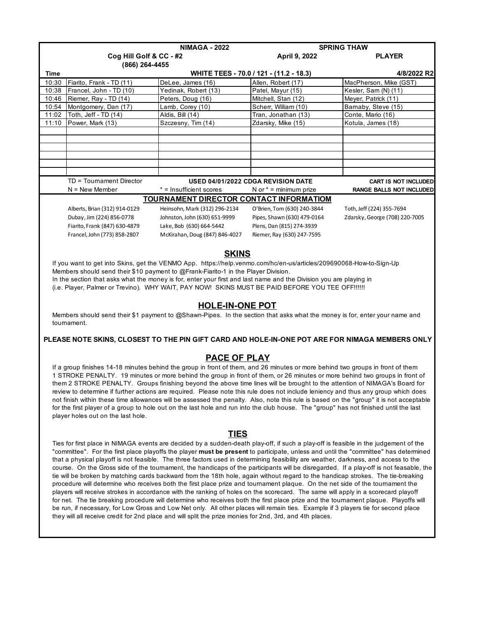|                                                                                                                                       | <b>NIMAGA - 2022</b>                                                                                                                                                                                                                                                      |                                                                                    |                                                                                                                                         | <b>SPRING THAW</b>                             |  |  |  |  |
|---------------------------------------------------------------------------------------------------------------------------------------|---------------------------------------------------------------------------------------------------------------------------------------------------------------------------------------------------------------------------------------------------------------------------|------------------------------------------------------------------------------------|-----------------------------------------------------------------------------------------------------------------------------------------|------------------------------------------------|--|--|--|--|
|                                                                                                                                       | Cog Hill Golf & CC - #2                                                                                                                                                                                                                                                   |                                                                                    | April 9, 2022                                                                                                                           | <b>PLAYER</b>                                  |  |  |  |  |
|                                                                                                                                       | (866) 264-4455                                                                                                                                                                                                                                                            |                                                                                    |                                                                                                                                         |                                                |  |  |  |  |
| <b>Time</b>                                                                                                                           |                                                                                                                                                                                                                                                                           |                                                                                    | WHITE TEES - 70.0 / 121 - (11.2 - 18.3)<br>Allen, Robert (17)                                                                           | 4/8/2022 R2                                    |  |  |  |  |
| 10:30<br>10:38                                                                                                                        | Fiarito, Frank - TD (11)<br>Francel, John - TD (10)                                                                                                                                                                                                                       | DeLee, James (16)<br>Yedinak, Robert (13)                                          | Patel, Mayur (15)                                                                                                                       | MacPherson, Mike (GST)<br>Kesler, Sam (N) (11) |  |  |  |  |
| 10:46                                                                                                                                 | Riemer, Ray - TD (14)                                                                                                                                                                                                                                                     | Peters, Doug (16)                                                                  | Mitchell, Stan (12)                                                                                                                     | Meyer, Patrick (11)                            |  |  |  |  |
| 10:54                                                                                                                                 | Montgomery, Dan (17)                                                                                                                                                                                                                                                      | Lamb, Corey (10)                                                                   | Scherr, William (10)                                                                                                                    | Bamaby, Steve (15)                             |  |  |  |  |
| 11:02                                                                                                                                 | Toth, Jeff - TD (14)                                                                                                                                                                                                                                                      | Aldis, Bill (14)                                                                   | Tran, Jonathan (13)                                                                                                                     | Conte, Mario (16)                              |  |  |  |  |
| 11:10                                                                                                                                 | Power, Mark (13)                                                                                                                                                                                                                                                          | Szczesny, Tim (14)                                                                 | Zdarsky, Mike (15)                                                                                                                      | Kotula, James (18)                             |  |  |  |  |
|                                                                                                                                       |                                                                                                                                                                                                                                                                           |                                                                                    |                                                                                                                                         |                                                |  |  |  |  |
|                                                                                                                                       |                                                                                                                                                                                                                                                                           |                                                                                    |                                                                                                                                         |                                                |  |  |  |  |
|                                                                                                                                       |                                                                                                                                                                                                                                                                           |                                                                                    |                                                                                                                                         |                                                |  |  |  |  |
|                                                                                                                                       |                                                                                                                                                                                                                                                                           |                                                                                    |                                                                                                                                         |                                                |  |  |  |  |
|                                                                                                                                       |                                                                                                                                                                                                                                                                           |                                                                                    |                                                                                                                                         |                                                |  |  |  |  |
|                                                                                                                                       | TD = Tournament Director                                                                                                                                                                                                                                                  |                                                                                    | USED 04/01/2022 CDGA REVISION DATE                                                                                                      | <b>CART IS NOT INCLUDED</b>                    |  |  |  |  |
|                                                                                                                                       | $N =$ New Member                                                                                                                                                                                                                                                          | * = Insufficient scores                                                            | N or $* =$ minimum prize                                                                                                                | RANGE BALLS NOT INCLUDED                       |  |  |  |  |
|                                                                                                                                       |                                                                                                                                                                                                                                                                           | <b>TOURNAMENT DIRECTOR CONTACT INFORMATIOM</b>                                     |                                                                                                                                         |                                                |  |  |  |  |
|                                                                                                                                       | Alberts, Brian (312) 914-0129                                                                                                                                                                                                                                             | Heinsohn, Mark (312) 296-2134                                                      | O'Brien, Tom (630) 240-3844                                                                                                             | Toth, Jeff (224) 355-7694                      |  |  |  |  |
|                                                                                                                                       | Dubay, Jim (224) 856-0778                                                                                                                                                                                                                                                 | Johnston, John (630) 651-9999                                                      | Pipes, Shawn (630) 479-0164                                                                                                             | Zdarsky, George (708) 220-7005                 |  |  |  |  |
|                                                                                                                                       | Fiarito, Frank (847) 630-4879                                                                                                                                                                                                                                             | Lake, Bob (630) 664-5442                                                           | Plens, Dan (815) 274-3939                                                                                                               |                                                |  |  |  |  |
|                                                                                                                                       | Francel, John (773) 858-2807                                                                                                                                                                                                                                              | McKirahan, Doug (847) 846-4027                                                     | Riemer, Ray (630) 247-7595                                                                                                              |                                                |  |  |  |  |
|                                                                                                                                       |                                                                                                                                                                                                                                                                           |                                                                                    |                                                                                                                                         |                                                |  |  |  |  |
|                                                                                                                                       |                                                                                                                                                                                                                                                                           | <b>SKINS</b>                                                                       |                                                                                                                                         |                                                |  |  |  |  |
|                                                                                                                                       |                                                                                                                                                                                                                                                                           |                                                                                    |                                                                                                                                         |                                                |  |  |  |  |
|                                                                                                                                       |                                                                                                                                                                                                                                                                           | Members should send their \$10 payment to @Frank-Fiarito-1 in the Player Division. | If you want to get into Skins, get the VENMO App. https://help.venmo.com/hc/en-us/articles/209690068-How-to-Sign-Up                     |                                                |  |  |  |  |
|                                                                                                                                       |                                                                                                                                                                                                                                                                           |                                                                                    | In the section that asks what the money is for, enter your first and last name and the Division you are playing in                      |                                                |  |  |  |  |
|                                                                                                                                       |                                                                                                                                                                                                                                                                           |                                                                                    | (i.e. Player, Palmer or Trevino). WHY WAIT, PAY NOW! SKINS MUST BE PAID BEFORE YOU TEE OFF!!!!!!                                        |                                                |  |  |  |  |
|                                                                                                                                       |                                                                                                                                                                                                                                                                           |                                                                                    |                                                                                                                                         |                                                |  |  |  |  |
|                                                                                                                                       |                                                                                                                                                                                                                                                                           | <b>HOLE-IN-ONE POT</b>                                                             |                                                                                                                                         |                                                |  |  |  |  |
|                                                                                                                                       |                                                                                                                                                                                                                                                                           |                                                                                    | Members should send their \$1 payment to @Shawn-Pipes. In the section that asks what the money is for, enter your name and              |                                                |  |  |  |  |
|                                                                                                                                       | tournament.                                                                                                                                                                                                                                                               |                                                                                    |                                                                                                                                         |                                                |  |  |  |  |
|                                                                                                                                       |                                                                                                                                                                                                                                                                           |                                                                                    |                                                                                                                                         |                                                |  |  |  |  |
|                                                                                                                                       |                                                                                                                                                                                                                                                                           |                                                                                    | PLEASE NOTE SKINS, CLOSEST TO THE PIN GIFT CARD AND HOLE-IN-ONE POT ARE FOR NIMAGA MEMBERS ONLY                                         |                                                |  |  |  |  |
|                                                                                                                                       |                                                                                                                                                                                                                                                                           |                                                                                    |                                                                                                                                         |                                                |  |  |  |  |
|                                                                                                                                       |                                                                                                                                                                                                                                                                           | <b>PACE OF PLAY</b>                                                                |                                                                                                                                         |                                                |  |  |  |  |
|                                                                                                                                       |                                                                                                                                                                                                                                                                           |                                                                                    | If a group finishes 14-18 minutes behind the group in front of them, and 26 minutes or more behind two groups in front of them          |                                                |  |  |  |  |
|                                                                                                                                       |                                                                                                                                                                                                                                                                           |                                                                                    | 1 STROKE PENALTY. 19 minutes or more behind the group in front of them, or 26 minutes or more behind two groups in front of             |                                                |  |  |  |  |
|                                                                                                                                       |                                                                                                                                                                                                                                                                           |                                                                                    | them 2 STROKE PENALTY. Groups finishing beyond the above time lines will be brought to the attention of NIMAGA's Board for              |                                                |  |  |  |  |
|                                                                                                                                       |                                                                                                                                                                                                                                                                           |                                                                                    | review to determine if further actions are required. Please note this rule does not include leniency and thus any group which does      |                                                |  |  |  |  |
|                                                                                                                                       |                                                                                                                                                                                                                                                                           |                                                                                    | not finish within these time allowances will be assessed the penalty. Also, note this rule is based on the "group" it is not acceptable |                                                |  |  |  |  |
| for the first player of a group to hole out on the last hole and run into the club house. The "group" has not finished until the last |                                                                                                                                                                                                                                                                           |                                                                                    |                                                                                                                                         |                                                |  |  |  |  |
|                                                                                                                                       | player holes out on the last hole.                                                                                                                                                                                                                                        |                                                                                    |                                                                                                                                         |                                                |  |  |  |  |
|                                                                                                                                       |                                                                                                                                                                                                                                                                           |                                                                                    |                                                                                                                                         |                                                |  |  |  |  |
| <b>TIES</b>                                                                                                                           |                                                                                                                                                                                                                                                                           |                                                                                    |                                                                                                                                         |                                                |  |  |  |  |
|                                                                                                                                       |                                                                                                                                                                                                                                                                           |                                                                                    | Ties for first place in NIMAGA events are decided by a sudden-death play-off, if such a play-off is feasible in the judgement of the    |                                                |  |  |  |  |
|                                                                                                                                       |                                                                                                                                                                                                                                                                           |                                                                                    | "committee". For the first place playoffs the player must be present to participate, unless and until the "committee" has determined    |                                                |  |  |  |  |
|                                                                                                                                       | that a physical playoff is not feasible. The three factors used in determining feasibility are weather, darkness, and access to the                                                                                                                                       |                                                                                    |                                                                                                                                         |                                                |  |  |  |  |
|                                                                                                                                       | course. On the Gross side of the tournament, the handicaps of the participants will be disregarded. If a play-off is not feasable, the                                                                                                                                    |                                                                                    |                                                                                                                                         |                                                |  |  |  |  |
|                                                                                                                                       | tie will be broken by matching cards backward from the 18th hole, again without regard to the handicap strokes. The tie-breaking                                                                                                                                          |                                                                                    |                                                                                                                                         |                                                |  |  |  |  |
|                                                                                                                                       | procedure will determine who receives both the first place prize and tournament plaque. On the net side of the tournament the                                                                                                                                             |                                                                                    |                                                                                                                                         |                                                |  |  |  |  |
|                                                                                                                                       | players will receive strokes in accordance with the ranking of holes on the scorecard. The same will apply in a scorecard playoff                                                                                                                                         |                                                                                    |                                                                                                                                         |                                                |  |  |  |  |
|                                                                                                                                       | for net. The tie breaking procedure will determine who receives both the first place prize and the tournament plaque. Playoffs will<br>be run, if necessary, for Low Gross and Low Net only. All other places will remain ties. Example if 3 players tie for second place |                                                                                    |                                                                                                                                         |                                                |  |  |  |  |
| they will all receive credit for 2nd place and will split the prize monies for 2nd, 3rd, and 4th places.                              |                                                                                                                                                                                                                                                                           |                                                                                    |                                                                                                                                         |                                                |  |  |  |  |
|                                                                                                                                       |                                                                                                                                                                                                                                                                           |                                                                                    |                                                                                                                                         |                                                |  |  |  |  |
|                                                                                                                                       |                                                                                                                                                                                                                                                                           |                                                                                    |                                                                                                                                         |                                                |  |  |  |  |
|                                                                                                                                       |                                                                                                                                                                                                                                                                           |                                                                                    |                                                                                                                                         |                                                |  |  |  |  |
|                                                                                                                                       |                                                                                                                                                                                                                                                                           |                                                                                    |                                                                                                                                         |                                                |  |  |  |  |
|                                                                                                                                       |                                                                                                                                                                                                                                                                           |                                                                                    |                                                                                                                                         |                                                |  |  |  |  |
|                                                                                                                                       |                                                                                                                                                                                                                                                                           |                                                                                    |                                                                                                                                         |                                                |  |  |  |  |